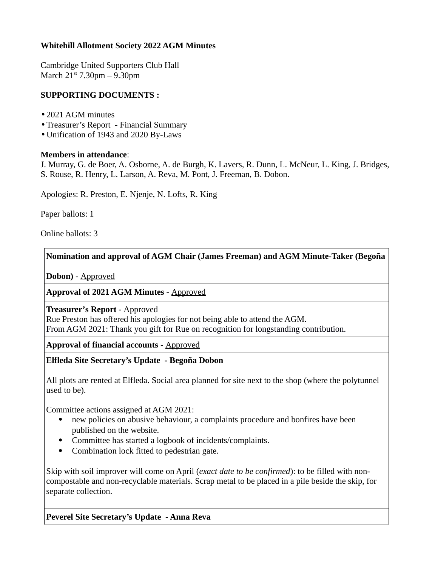### **Whitehill Allotment Society 2022 AGM Minutes**

Cambridge United Supporters Club Hall March  $21^{st}$  7.30pm – 9.30pm

### **SUPPORTING DOCUMENTS :**

- •2021 AGM minutes
- •Treasurer's Report Financial Summary
- •Unification of 1943 and 2020 By-Laws

#### **Members in attendance**:

J. Murray, G. de Boer, A. Osborne, A. de Burgh, K. Lavers, R. Dunn, L. McNeur, L. King, J. Bridges, S. Rouse, R. Henry, L. Larson, A. Reva, M. Pont, J. Freeman, B. Dobon.

Apologies: R. Preston, E. Njenje, N. Lofts, R. King

Paper ballots: 1

Online ballots: 3

### **Nomination and approval of AGM Chair (James Freeman) and AGM Minute-Taker (Begoña**

**Dobon)** - Approved

### **Approval of 2021 AGM Minutes** - Approved

**Treasurer's Report** - Approved

Rue Preston has offered his apologies for not being able to attend the AGM. From AGM 2021: Thank you gift for Rue on recognition for longstanding contribution.

**Approval of financial accounts** - Approved

**Elfleda Site Secretary's Update - Begoña Dobon**

All plots are rented at Elfleda. Social area planned for site next to the shop (where the polytunnel used to be).

Committee actions assigned at AGM 2021:

- new policies on abusive behaviour, a complaints procedure and bonfires have been published on the website.
- Committee has started a logbook of incidents/complaints.
- Combination lock fitted to pedestrian gate.

Skip with soil improver will come on April (*exact date to be confirmed*): to be filled with noncompostable and non-recyclable materials. Scrap metal to be placed in a pile beside the skip, for separate collection.

**Peverel Site Secretary's Update - Anna Reva**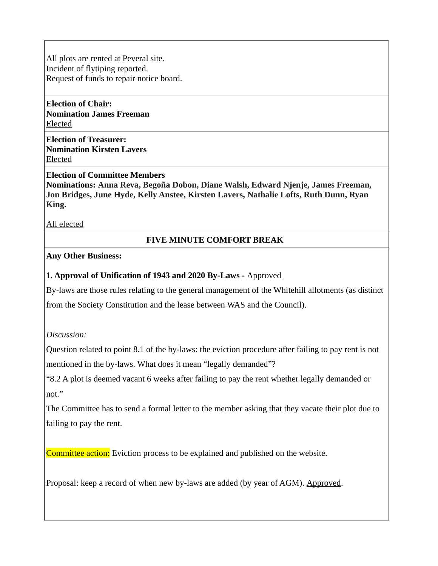All plots are rented at Peveral site. Incident of flytiping reported. Request of funds to repair notice board.

**Election of Chair: Nomination James Freeman** Elected

**Election of Treasurer: Nomination Kirsten Lavers** Elected

**Election of Committee Members**

**Nominations: Anna Reva, Begoña Dobon, Diane Walsh, Edward Njenje, James Freeman, Jon Bridges, June Hyde, Kelly Anstee, Kirsten Lavers, Nathalie Lofts, Ruth Dunn, Ryan King.**

All elected

### **FIVE MINUTE COMFORT BREAK**

### **Any Other Business:**

### **1. Approval of Unification of 1943 and 2020 By-Laws -** Approved

By-laws are those rules relating to the general management of the Whitehill allotments (as distinct from the Society Constitution and the lease between WAS and the Council).

*Discussion:*

Question related to point 8.1 of the by-laws: the eviction procedure after failing to pay rent is not mentioned in the by-laws. What does it mean "legally demanded"?

"8.2 A plot is deemed vacant 6 weeks after failing to pay the rent whether legally demanded or not."

The Committee has to send a formal letter to the member asking that they vacate their plot due to failing to pay the rent.

Committee action: Eviction process to be explained and published on the website.

Proposal: keep a record of when new by-laws are added (by year of AGM). Approved.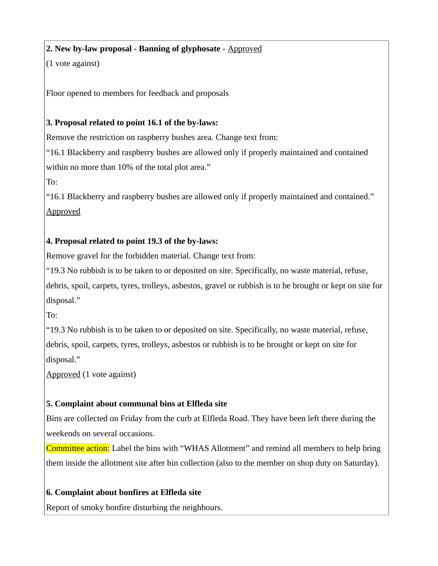# **2. New by-law proposal - Banning of glyphosate -** Approved

(1 vote against)

Floor opened to members for feedback and proposals

## **3. Proposal related to point 16.1 of the by-laws:**

Remove the restriction on raspberry bushes area. Change text from:

"16.1 Blackberry and raspberry bushes are allowed only if properly maintained and contained within no more than 10% of the total plot area."

To:

"16.1 Blackberry and raspberry bushes are allowed only if properly maintained and contained." Approved

## **4. Proposal related to point 19.3 of the by-laws:**

Remove gravel for the forbidden material. Change text from:

"19.3 No rubbish is to be taken to or deposited on site. Specifically, no waste material, refuse, debris, spoil, carpets, tyres, trolleys, asbestos, gravel or rubbish is to be brought or kept on site for disposal."

To:

"19.3 No rubbish is to be taken to or deposited on site. Specifically, no waste material, refuse, debris, spoil, carpets, tyres, trolleys, asbestos or rubbish is to be brought or kept on site for disposal."

Approved (1 vote against)

## **5. Complaint about communal bins at Elfleda site**

Bins are collected on Friday from the curb at Elfleda Road. They have been left there during the weekends on several occasions.

Committee action: Label the bins with "WHAS Allotment" and remind all members to help bring them inside the allotment site after bin collection (also to the member on shop duty on Saturday).

## **6. Complaint about bonfires at Elfleda site**

Report of smoky bonfire disturbing the neighbours.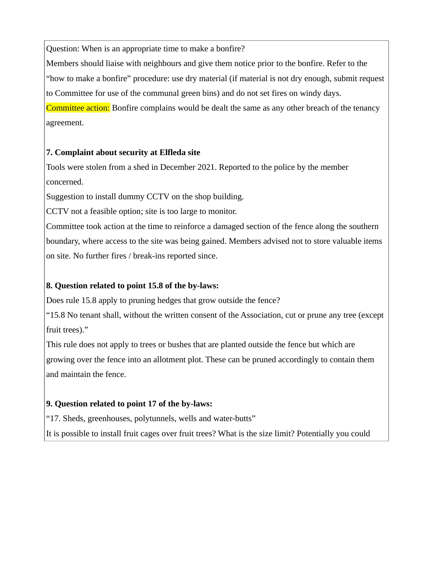Question: When is an appropriate time to make a bonfire?

Members should liaise with neighbours and give them notice prior to the bonfire. Refer to the "how to make a bonfire" procedure: use dry material (if material is not dry enough, submit request to Committee for use of the communal green bins) and do not set fires on windy days. Committee action: Bonfire complains would be dealt the same as any other breach of the tenancy agreement.

### **7. Complaint about security at Elfleda site**

Tools were stolen from a shed in December 2021. Reported to the police by the member concerned.

Suggestion to install dummy CCTV on the shop building.

CCTV not a feasible option; site is too large to monitor.

Committee took action at the time to reinforce a damaged section of the fence along the southern boundary, where access to the site was being gained. Members advised not to store valuable items on site. No further fires / break-ins reported since.

### **8. Question related to point 15.8 of the by-laws:**

Does rule 15.8 apply to pruning hedges that grow outside the fence?

"15.8 No tenant shall, without the written consent of the Association, cut or prune any tree (except fruit trees)."

This rule does not apply to trees or bushes that are planted outside the fence but which are growing over the fence into an allotment plot. These can be pruned accordingly to contain them and maintain the fence.

### **9. Question related to point 17 of the by-laws:**

"17. Sheds, greenhouses, polytunnels, wells and water-butts"

It is possible to install fruit cages over fruit trees? What is the size limit? Potentially you could